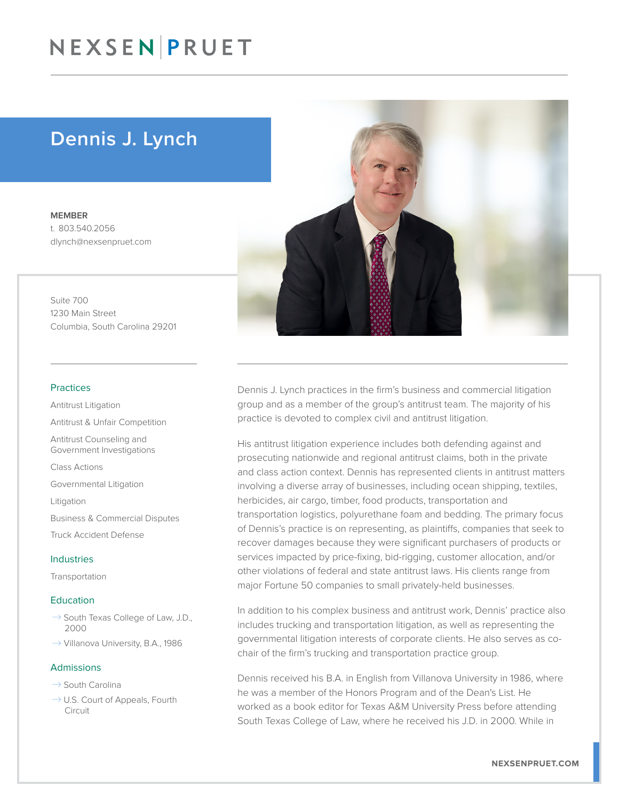## NEXSEN PRUET

### Dennis J. Lynch

MEMBER t. 803.540.2056 dlynch@nexsenpruet.com

Suite 700 1230 Main Street Columbia, South Carolina 29201

#### Practices

Antitrust Litigation Antitrust & Unfair Competition Antitrust Counseling and Government Investigations Class Actions

Governmental Litigation

Litigation

Business & Commercial Disputes

Truck Accident Defense

#### Industries

Transportation

#### Education

- $\rightarrow$  South Texas College of Law, J.D., 2000
- $\rightarrow$  Villanova University, B.A., 1986

#### Admissions

- $\rightarrow$  South Carolina
- $\rightarrow$  U.S. Court of Appeals, Fourth Circuit



Dennis J. Lynch practices in the firm's business and commercial litigation group and as a member of the group's antitrust team. The majority of his practice is devoted to complex civil and antitrust litigation.

His antitrust litigation experience includes both defending against and prosecuting nationwide and regional antitrust claims, both in the private and class action context. Dennis has represented clients in antitrust matters involving a diverse array of businesses, including ocean shipping, textiles, herbicides, air cargo, timber, food products, transportation and transportation logistics, polyurethane foam and bedding. The primary focus of Dennis's practice is on representing, as plaintiffs, companies that seek to recover damages because they were significant purchasers of products or services impacted by price-fixing, bid-rigging, customer allocation, and/or other violations of federal and state antitrust laws. His clients range from major Fortune 50 companies to small privately-held businesses.

In addition to his complex business and antitrust work, Dennis' practice also includes trucking and transportation litigation, as well as representing the governmental litigation interests of corporate clients. He also serves as cochair of the firm's trucking and transportation practice group.

Dennis received his B.A. in English from Villanova University in 1986, where he was a member of the Honors Program and of the Dean's List. He worked as a book editor for Texas A&M University Press before attending South Texas College of Law, where he received his J.D. in 2000. While in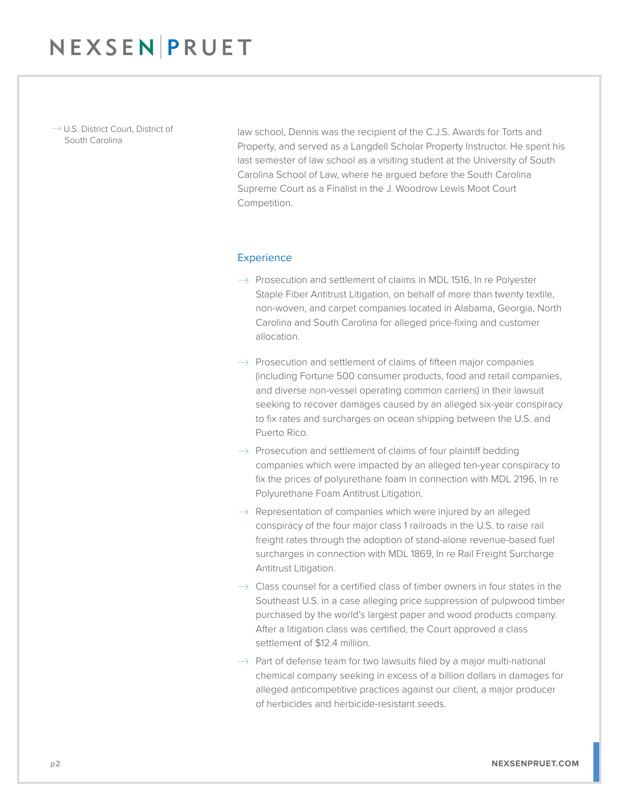$\rightarrow$  U.S. District Court, District of South Carolina

law school, Dennis was the recipient of the C.J.S. Awards for Torts and Property, and served as a Langdell Scholar Property Instructor. He spent his last semester of law school as a visiting student at the University of South Carolina School of Law, where he argued before the South Carolina Supreme Court as a Finalist in the J. Woodrow Lewis Moot Court Competition.

#### **Experience**

- $\rightarrow$  Prosecution and settlement of claims in MDL 1516, In re Polyester Staple Fiber Antitrust Litigation, on behalf of more than twenty textile, non-woven, and carpet companies located in Alabama, Georgia, North Carolina and South Carolina for alleged price-fixing and customer allocation.
- $\rightarrow$  Prosecution and settlement of claims of fifteen major companies (including Fortune 500 consumer products, food and retail companies, and diverse non-vessel operating common carriers) in their lawsuit seeking to recover damages caused by an alleged six-year conspiracy to fix rates and surcharges on ocean shipping between the U.S. and Puerto Rico.
- $\rightarrow$  Prosecution and settlement of claims of four plaintiff bedding companies which were impacted by an alleged ten-year conspiracy to fix the prices of polyurethane foam in connection with MDL 2196, In re Polyurethane Foam Antitrust Litigation.
- $\rightarrow$  Representation of companies which were injured by an alleged conspiracy of the four major class 1 railroads in the U.S. to raise rail freight rates through the adoption of stand-alone revenue-based fuel surcharges in connection with MDL 1869, In re Rail Freight Surcharge Antitrust Litigation.
- $\rightarrow$  Class counsel for a certified class of timber owners in four states in the Southeast U.S. in a case alleging price suppression of pulpwood timber purchased by the world's largest paper and wood products company. After a litigation class was certified, the Court approved a class settlement of \$12.4 million.
- $\rightarrow$  Part of defense team for two lawsuits filed by a major multi-national chemical company seeking in excess of a billion dollars in damages for alleged anticompetitive practices against our client, a major producer of herbicides and herbicide-resistant seeds.